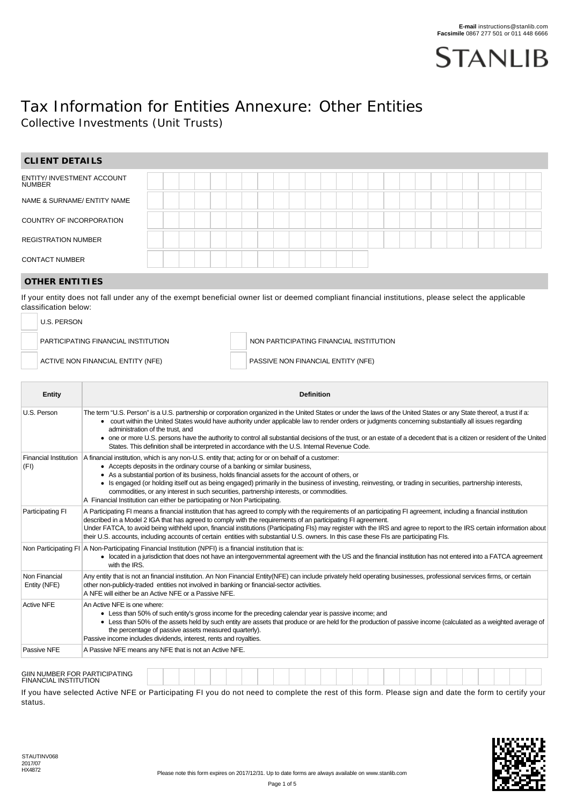

# Tax Information for Entities Annexure: Other Entities Collective Investments (Unit Trusts)

| <b>CLIENT DETAILS</b>                              |                                                                                                                                                                                                                                                                                                                                                                                                                                                                                                                                                                                                                                                   |  |  |  |  |  |  |  |  |  |  |  |  |                                                                               |  |  |  |  |  |  |
|----------------------------------------------------|---------------------------------------------------------------------------------------------------------------------------------------------------------------------------------------------------------------------------------------------------------------------------------------------------------------------------------------------------------------------------------------------------------------------------------------------------------------------------------------------------------------------------------------------------------------------------------------------------------------------------------------------------|--|--|--|--|--|--|--|--|--|--|--|--|-------------------------------------------------------------------------------|--|--|--|--|--|--|
| <b>ENTITY/ INVESTMENT ACCOUNT</b><br><b>NUMBER</b> |                                                                                                                                                                                                                                                                                                                                                                                                                                                                                                                                                                                                                                                   |  |  |  |  |  |  |  |  |  |  |  |  |                                                                               |  |  |  |  |  |  |
| NAME & SURNAME/ ENTITY NAME                        |                                                                                                                                                                                                                                                                                                                                                                                                                                                                                                                                                                                                                                                   |  |  |  |  |  |  |  |  |  |  |  |  |                                                                               |  |  |  |  |  |  |
| COUNTRY OF INCORPORATION                           |                                                                                                                                                                                                                                                                                                                                                                                                                                                                                                                                                                                                                                                   |  |  |  |  |  |  |  |  |  |  |  |  |                                                                               |  |  |  |  |  |  |
| <b>REGISTRATION NUMBER</b>                         |                                                                                                                                                                                                                                                                                                                                                                                                                                                                                                                                                                                                                                                   |  |  |  |  |  |  |  |  |  |  |  |  |                                                                               |  |  |  |  |  |  |
| <b>CONTACT NUMBER</b>                              |                                                                                                                                                                                                                                                                                                                                                                                                                                                                                                                                                                                                                                                   |  |  |  |  |  |  |  |  |  |  |  |  |                                                                               |  |  |  |  |  |  |
| <b>OTHER ENTITIES</b>                              |                                                                                                                                                                                                                                                                                                                                                                                                                                                                                                                                                                                                                                                   |  |  |  |  |  |  |  |  |  |  |  |  |                                                                               |  |  |  |  |  |  |
| classification below:<br><b>U.S. PERSON</b>        | If your entity does not fall under any of the exempt beneficial owner list or deemed compliant financial institutions, please select the applicable<br>PARTICIPATING FINANCIAL INSTITUTION<br>ACTIVE NON FINANCIAL ENTITY (NFE)                                                                                                                                                                                                                                                                                                                                                                                                                   |  |  |  |  |  |  |  |  |  |  |  |  | NON PARTICIPATING FINANCIAL INSTITUTION<br>PASSIVE NON FINANCIAL ENTITY (NFE) |  |  |  |  |  |  |
| Entity                                             | <b>Definition</b>                                                                                                                                                                                                                                                                                                                                                                                                                                                                                                                                                                                                                                 |  |  |  |  |  |  |  |  |  |  |  |  |                                                                               |  |  |  |  |  |  |
| U.S. Person                                        | The term "U.S. Person" is a U.S. partnership or corporation organized in the United States or under the laws of the United States or any State thereof, a trust if a:<br>• court within the United States would have authority under applicable law to render orders or judgments concerning substantially all issues regarding<br>administration of the trust, and<br>• one or more U.S. persons have the authority to control all substantial decisions of the trust, or an estate of a decedent that is a citizen or resident of the United<br>States. This definition shall be interpreted in accordance with the U.S. Internal Revenue Code. |  |  |  |  |  |  |  |  |  |  |  |  |                                                                               |  |  |  |  |  |  |
| Financial Institution<br>(FI)                      | A financial institution, which is any non-U.S. entity that; acting for or on behalf of a customer:<br>• Accepts deposits in the ordinary course of a banking or similar business,<br>• As a substantial portion of its business, holds financial assets for the account of others, or<br>• Is engaged (or holding itself out as being engaged) primarily in the business of investing, reinvesting, or trading in securities, partnership interests,<br>commodities, or any interest in such securities, partnership interests, or commodities.<br>A Financial Institution can either be participating or Non Participating.                      |  |  |  |  |  |  |  |  |  |  |  |  |                                                                               |  |  |  |  |  |  |
| Participating FI                                   | A Participating FI means a financial institution that has agreed to comply with the requirements of an participating FI agreement, including a financial institution<br>described in a Model 2 IGA that has agreed to comply with the requirements of an participating FI agreement.<br>Under FATCA, to avoid being withheld upon, financial institutions (Participating FIs) may register with the IRS and agree to report to the IRS certain information about<br>their U.S. accounts, including accounts of certain entities with substantial U.S. owners. In this case these FIs are participating FIs.                                       |  |  |  |  |  |  |  |  |  |  |  |  |                                                                               |  |  |  |  |  |  |
|                                                    | Non Participating FI   A Non-Participating Financial Institution (NPFI) is a financial institution that is:<br>• located in a jurisdiction that does not have an intergovernmental agreement with the US and the financial institution has not entered into a FATCA agreement<br>with the IRS.                                                                                                                                                                                                                                                                                                                                                    |  |  |  |  |  |  |  |  |  |  |  |  |                                                                               |  |  |  |  |  |  |
| Non Financial<br>Entity (NFE)                      | Any entity that is not an financial institution. An Non Financial Entity(NFE) can include privately held operating businesses, professional services firms, or certain<br>other non-publicly-traded entities not involved in banking or financial-sector activities.<br>A NFE will either be an Active NFE or a Passive NFE.                                                                                                                                                                                                                                                                                                                      |  |  |  |  |  |  |  |  |  |  |  |  |                                                                               |  |  |  |  |  |  |
| <b>Active NFE</b>                                  | An Active NFE is one where:<br>• Less than 50% of such entity's gross income for the preceding calendar year is passive income; and<br>• Less than 50% of the assets held by such entity are assets that produce or are held for the production of passive income (calculated as a weighted average of<br>the percentage of passive assets measured quarterly).<br>Passive income includes dividends, interest, rents and royalties.                                                                                                                                                                                                              |  |  |  |  |  |  |  |  |  |  |  |  |                                                                               |  |  |  |  |  |  |
| Passive NFE                                        | A Passive NFE means any NFE that is not an Active NFE.                                                                                                                                                                                                                                                                                                                                                                                                                                                                                                                                                                                            |  |  |  |  |  |  |  |  |  |  |  |  |                                                                               |  |  |  |  |  |  |
|                                                    |                                                                                                                                                                                                                                                                                                                                                                                                                                                                                                                                                                                                                                                   |  |  |  |  |  |  |  |  |  |  |  |  |                                                                               |  |  |  |  |  |  |

# GIIN NUMBER FOR PARTICIPATING FINANCIAL INSTITUTION

If you have selected Active NFE or Participating FI you do not need to complete the rest of this form. Please sign and date the form to certify your status.

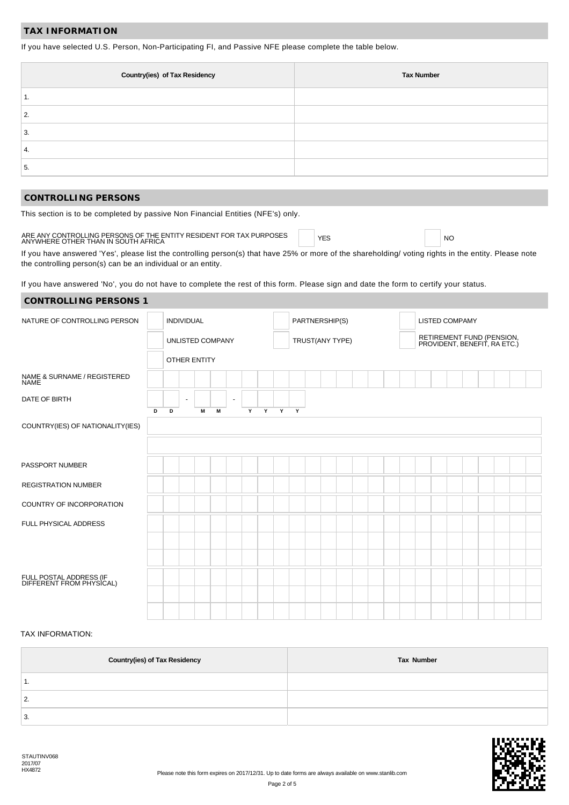### **TAX INFORMATION**

If you have selected U.S. Person, Non-Participating FI, and Passive NFE please complete the table below.

| <b>Country(ies) of Tax Residency</b> | <b>Tax Number</b> |
|--------------------------------------|-------------------|
|                                      |                   |
| 2.                                   |                   |
| 3.                                   |                   |
| 4.                                   |                   |
| 5.                                   |                   |

#### **CONTROLLING PERSONS**

This section is to be completed by passive Non Financial Entities (NFE's) only.

# ARE ANY CONTROLLING PERSONS OF THE ENTITY RESIDENT FOR TAX PURPOSES  $\parallel$  YES YES NO WHERE OTHER THAN IN SOUTH AFRICA

If you have answered 'Yes', please list the controlling person(s) that have 25% or more of the shareholding/ voting rights in the entity. Please note the controlling person(s) can be an individual or an entity.

If you have answered 'No', you do not have to complete the rest of this form. Please sign and date the form to certify your status.

| <b>CONTROLLING PERSONS 1</b>                        |   |   |                   |                     |   |                |   |   |              |              |                 |  |  |  |  |                |                                                           |  |  |
|-----------------------------------------------------|---|---|-------------------|---------------------|---|----------------|---|---|--------------|--------------|-----------------|--|--|--|--|----------------|-----------------------------------------------------------|--|--|
| NATURE OF CONTROLLING PERSON                        |   |   | <b>INDIVIDUAL</b> |                     |   |                |   |   |              |              | PARTNERSHIP(S)  |  |  |  |  | LISTED COMPAMY |                                                           |  |  |
|                                                     |   |   |                   | UNLISTED COMPANY    |   |                |   |   |              |              | TRUST(ANY TYPE) |  |  |  |  |                | RETIREMENT FUND (PENSION,<br>PROVIDENT, BENEFIT, RA ETC.) |  |  |
|                                                     |   |   |                   | <b>OTHER ENTITY</b> |   |                |   |   |              |              |                 |  |  |  |  |                |                                                           |  |  |
| NAME & SURNAME / REGISTERED<br><b>NAME</b>          |   |   |                   |                     |   |                |   |   |              |              |                 |  |  |  |  |                |                                                           |  |  |
| DATE OF BIRTH                                       |   |   | $\sim$            |                     |   | $\blacksquare$ |   |   |              |              |                 |  |  |  |  |                |                                                           |  |  |
| COUNTRY(IES) OF NATIONALITY(IES)                    | D | D |                   | M                   | M |                | Y | Y | $\mathbf{Y}$ | $\mathbf{Y}$ |                 |  |  |  |  |                |                                                           |  |  |
| PASSPORT NUMBER                                     |   |   |                   |                     |   |                |   |   |              |              |                 |  |  |  |  |                |                                                           |  |  |
| <b>REGISTRATION NUMBER</b>                          |   |   |                   |                     |   |                |   |   |              |              |                 |  |  |  |  |                |                                                           |  |  |
| COUNTRY OF INCORPORATION                            |   |   |                   |                     |   |                |   |   |              |              |                 |  |  |  |  |                |                                                           |  |  |
| FULL PHYSICAL ADDRESS                               |   |   |                   |                     |   |                |   |   |              |              |                 |  |  |  |  |                |                                                           |  |  |
|                                                     |   |   |                   |                     |   |                |   |   |              |              |                 |  |  |  |  |                |                                                           |  |  |
|                                                     |   |   |                   |                     |   |                |   |   |              |              |                 |  |  |  |  |                |                                                           |  |  |
| FULL POSTAL ADDRESS (IF<br>DIFFERENT FROM PHYSICAL) |   |   |                   |                     |   |                |   |   |              |              |                 |  |  |  |  |                |                                                           |  |  |
|                                                     |   |   |                   |                     |   |                |   |   |              |              |                 |  |  |  |  |                |                                                           |  |  |

#### TAX INFORMATION:

| <b>Country(ies) of Tax Residency</b> | Tax Number |
|--------------------------------------|------------|
| . .                                  |            |
| 2.                                   |            |
| 3.                                   |            |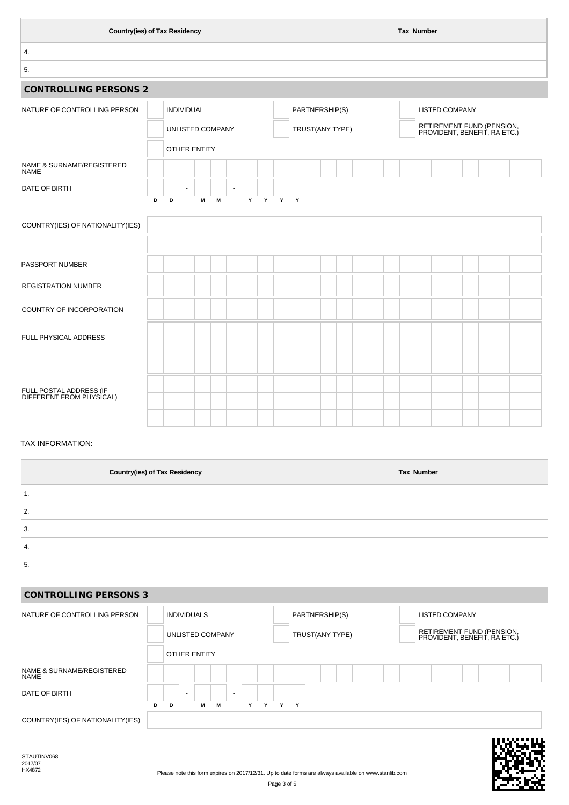| <b>Country(ies) of Tax Residency</b> |                |  |                 |                   |                  |   |   |  |        |  |  |                |                 |  | <b>Tax Number</b> |  |                       |  |                                                           |
|--------------------------------------|----------------|--|-----------------|-------------------|------------------|---|---|--|--------|--|--|----------------|-----------------|--|-------------------|--|-----------------------|--|-----------------------------------------------------------|
|                                      |                |  |                 |                   |                  |   |   |  |        |  |  |                |                 |  |                   |  |                       |  |                                                           |
|                                      |                |  |                 |                   |                  |   |   |  |        |  |  |                |                 |  |                   |  |                       |  |                                                           |
|                                      |                |  |                 |                   |                  |   |   |  |        |  |  |                |                 |  |                   |  |                       |  |                                                           |
|                                      |                |  |                 |                   |                  |   |   |  |        |  |  |                |                 |  |                   |  |                       |  |                                                           |
|                                      |                |  |                 |                   |                  |   |   |  |        |  |  |                |                 |  |                   |  |                       |  |                                                           |
|                                      |                |  |                 |                   |                  |   |   |  |        |  |  |                |                 |  |                   |  |                       |  |                                                           |
|                                      |                |  |                 |                   |                  |   |   |  |        |  |  |                |                 |  |                   |  |                       |  |                                                           |
|                                      | $\blacksquare$ |  |                 | $\blacksquare$    |                  |   |   |  |        |  |  |                |                 |  |                   |  |                       |  |                                                           |
|                                      |                |  |                 |                   |                  |   |   |  |        |  |  |                |                 |  |                   |  |                       |  |                                                           |
|                                      |                |  |                 |                   |                  |   |   |  |        |  |  |                |                 |  |                   |  |                       |  |                                                           |
|                                      |                |  |                 |                   |                  |   |   |  |        |  |  |                |                 |  |                   |  |                       |  |                                                           |
|                                      |                |  |                 |                   |                  |   |   |  |        |  |  |                |                 |  |                   |  |                       |  |                                                           |
|                                      |                |  |                 |                   |                  |   |   |  |        |  |  |                |                 |  |                   |  |                       |  |                                                           |
|                                      |                |  |                 |                   |                  |   |   |  |        |  |  |                |                 |  |                   |  |                       |  |                                                           |
|                                      |                |  |                 |                   |                  |   |   |  |        |  |  |                |                 |  |                   |  |                       |  |                                                           |
|                                      |                |  |                 |                   |                  |   |   |  |        |  |  |                |                 |  |                   |  |                       |  |                                                           |
|                                      |                |  |                 |                   |                  |   |   |  |        |  |  |                |                 |  |                   |  |                       |  |                                                           |
|                                      | D              |  | INDIVIDUAL<br>M | OTHER ENTITY<br>М | UNLISTED COMPANY | Y | Y |  | Y<br>Y |  |  | PARTNERSHIP(S) | TRUST(ANY TYPE) |  |                   |  | <b>LISTED COMPANY</b> |  | RETIREMENT FUND (PENSION,<br>PROVIDENT, BENEFIT, RA ETC.) |

### TAX INFORMATION:

| <b>Country(ies) of Tax Residency</b> | Tax Number |
|--------------------------------------|------------|
| . .                                  |            |
| C<br>۷.                              |            |
| 3.                                   |            |
| 4.                                   |            |
| 5.                                   |            |

# **CONTROLLING PERSONS 3**

| NATURE OF CONTROLLING PERSON      |    |   | <b>INDIVIDUALS</b>       |   |   |                          |   |   |   |   | PARTNERSHIP(S) |                 |  |  | <b>LISTED COMPANY</b>                                     |  |  |  |
|-----------------------------------|----|---|--------------------------|---|---|--------------------------|---|---|---|---|----------------|-----------------|--|--|-----------------------------------------------------------|--|--|--|
|                                   |    |   | <b>UNLISTED COMPANY</b>  |   |   |                          |   |   |   |   |                | TRUST(ANY TYPE) |  |  | RETIREMENT FUND (PENSION,<br>PROVIDENT, BENEFIT, RA ETC.) |  |  |  |
|                                   |    |   | <b>OTHER ENTITY</b>      |   |   |                          |   |   |   |   |                |                 |  |  |                                                           |  |  |  |
| NAME & SURNAME/REGISTERED<br>NAME |    |   |                          |   |   |                          |   |   |   |   |                |                 |  |  |                                                           |  |  |  |
| DATE OF BIRTH                     |    |   | $\overline{\phantom{a}}$ |   |   | $\overline{\phantom{0}}$ |   |   |   |   |                |                 |  |  |                                                           |  |  |  |
|                                   | D. | D |                          | М | М |                          | Υ | Y | Y | Y |                |                 |  |  |                                                           |  |  |  |
| COUNTRY(IES) OF NATIONALITY(IES)  |    |   |                          |   |   |                          |   |   |   |   |                |                 |  |  |                                                           |  |  |  |

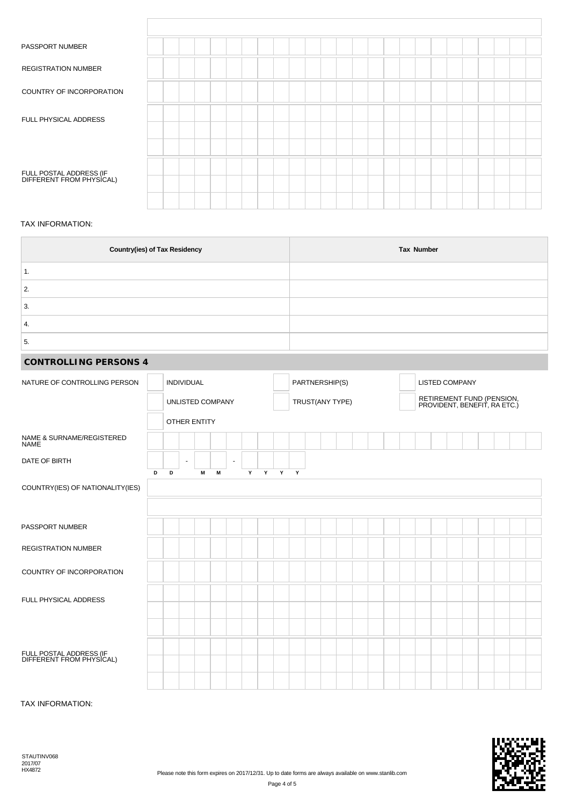| PASSPORT NUMBER                                     |  |  |  |  |  |  |  |  |  |  |  |  |
|-----------------------------------------------------|--|--|--|--|--|--|--|--|--|--|--|--|
| <b>REGISTRATION NUMBER</b>                          |  |  |  |  |  |  |  |  |  |  |  |  |
| COUNTRY OF INCORPORATION                            |  |  |  |  |  |  |  |  |  |  |  |  |
| FULL PHYSICAL ADDRESS                               |  |  |  |  |  |  |  |  |  |  |  |  |
|                                                     |  |  |  |  |  |  |  |  |  |  |  |  |
| FULL POSTAL ADDRESS (IF<br>DIFFERENT FROM PHYSICAL) |  |  |  |  |  |  |  |  |  |  |  |  |
|                                                     |  |  |  |  |  |  |  |  |  |  |  |  |

### TAX INFORMATION:

| <b>Country(ies) of Tax Residency</b> | Tax Number |
|--------------------------------------|------------|
| . .                                  |            |
| C<br>۷.                              |            |
| 3.                                   |            |
| 4.                                   |            |
| 5.                                   |            |

## **CONTROLLING PERSONS 4**

| NATURE OF CONTROLLING PERSON                        |   |   | <b>INDIVIDUAL</b>        |                     |   |                          |   |  |       | PARTNERSHIP(S) |                 |  |  | <b>LISTED COMPANY</b> |                                                           |  |  |  |
|-----------------------------------------------------|---|---|--------------------------|---------------------|---|--------------------------|---|--|-------|----------------|-----------------|--|--|-----------------------|-----------------------------------------------------------|--|--|--|
|                                                     |   |   |                          | UNLISTED COMPANY    |   |                          |   |  |       |                | TRUST(ANY TYPE) |  |  |                       | RETIREMENT FUND (PENSION,<br>PROVIDENT, BENEFIT, RA ETC.) |  |  |  |
|                                                     |   |   |                          | <b>OTHER ENTITY</b> |   |                          |   |  |       |                |                 |  |  |                       |                                                           |  |  |  |
| NAME & SURNAME/REGISTERED<br><b>NAME</b>            |   |   |                          |                     |   |                          |   |  |       |                |                 |  |  |                       |                                                           |  |  |  |
| DATE OF BIRTH                                       |   |   | $\overline{\phantom{a}}$ |                     |   | $\overline{\phantom{a}}$ |   |  |       |                |                 |  |  |                       |                                                           |  |  |  |
| COUNTRY(IES) OF NATIONALITY(IES)                    | D | D |                          | M                   | M |                          | Y |  | Y Y Y |                |                 |  |  |                       |                                                           |  |  |  |
| PASSPORT NUMBER                                     |   |   |                          |                     |   |                          |   |  |       |                |                 |  |  |                       |                                                           |  |  |  |
| <b>REGISTRATION NUMBER</b>                          |   |   |                          |                     |   |                          |   |  |       |                |                 |  |  |                       |                                                           |  |  |  |
| COUNTRY OF INCORPORATION                            |   |   |                          |                     |   |                          |   |  |       |                |                 |  |  |                       |                                                           |  |  |  |
| FULL PHYSICAL ADDRESS                               |   |   |                          |                     |   |                          |   |  |       |                |                 |  |  |                       |                                                           |  |  |  |
|                                                     |   |   |                          |                     |   |                          |   |  |       |                |                 |  |  |                       |                                                           |  |  |  |
|                                                     |   |   |                          |                     |   |                          |   |  |       |                |                 |  |  |                       |                                                           |  |  |  |
| FULL POSTAL ADDRESS (IF<br>DIFFERENT FROM PHYSICAL) |   |   |                          |                     |   |                          |   |  |       |                |                 |  |  |                       |                                                           |  |  |  |
|                                                     |   |   |                          |                     |   |                          |   |  |       |                |                 |  |  |                       |                                                           |  |  |  |

TAX INFORMATION:

STAUTINV068 2017/07